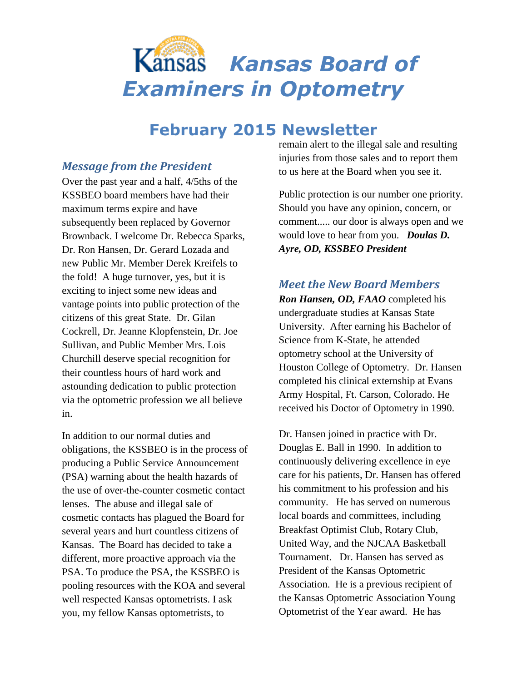# *Kansas Board of Examiners in Optometry*

# **February 2015 Newsletter**

#### *Message from the President*

Over the past year and a half, 4/5ths of the KSSBEO board members have had their maximum terms expire and have subsequently been replaced by Governor Brownback. I welcome Dr. Rebecca Sparks, Dr. Ron Hansen, Dr. Gerard Lozada and new Public Mr. Member Derek Kreifels to the fold! A huge turnover, yes, but it is exciting to inject some new ideas and vantage points into public protection of the citizens of this great State. Dr. Gilan Cockrell, Dr. Jeanne Klopfenstein, Dr. Joe Sullivan, and Public Member Mrs. Lois Churchill deserve special recognition for their countless hours of hard work and astounding dedication to public protection via the optometric profession we all believe in.

In addition to our normal duties and obligations, the KSSBEO is in the process of producing a Public Service Announcement (PSA) warning about the health hazards of the use of over-the-counter cosmetic contact lenses. The abuse and illegal sale of cosmetic contacts has plagued the Board for several years and hurt countless citizens of Kansas. The Board has decided to take a different, more proactive approach via the PSA. To produce the PSA, the KSSBEO is pooling resources with the KOA and several well respected Kansas optometrists. I ask you, my fellow Kansas optometrists, to

remain alert to the illegal sale and resulting injuries from those sales and to report them to us here at the Board when you see it.

Public protection is our number one priority. Should you have any opinion, concern, or comment..... our door is always open and we would love to hear from you. *Doulas D. Ayre, OD, KSSBEO President*

#### *Meet the New Board Members*

*Ron Hansen, OD, FAAO* completed his undergraduate studies at Kansas State University. After earning his Bachelor of Science from K-State, he attended optometry school at the University of Houston College of Optometry. Dr. Hansen completed his clinical externship at Evans Army Hospital, Ft. Carson, Colorado. He received his Doctor of Optometry in 1990.

Dr. Hansen joined in practice with Dr. Douglas E. Ball in 1990. In addition to continuously delivering excellence in eye care for his patients, Dr. Hansen has offered his commitment to his profession and his community. He has served on numerous local boards and committees, including Breakfast Optimist Club, Rotary Club, United Way, and the NJCAA Basketball Tournament. Dr. Hansen has served as President of the Kansas Optometric Association. He is a previous recipient of the Kansas Optometric Association Young Optometrist of the Year award. He has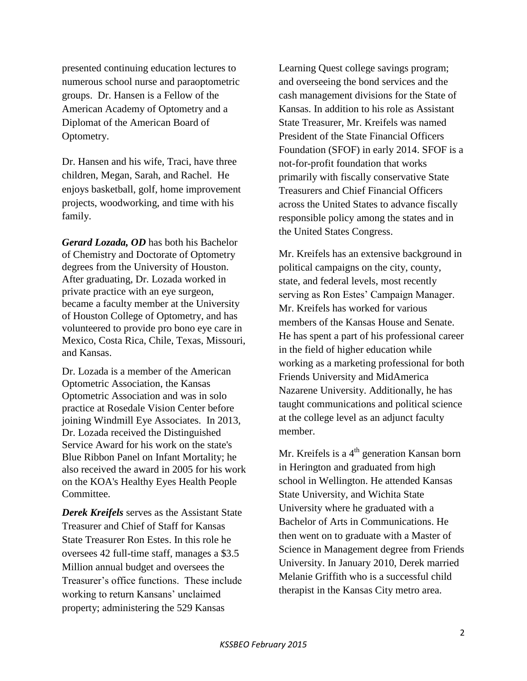presented continuing education lectures to numerous school nurse and paraoptometric groups. Dr. Hansen is a Fellow of the American Academy of Optometry and a Diplomat of the American Board of Optometry.

Dr. Hansen and his wife, Traci, have three children, Megan, Sarah, and Rachel. He enjoys basketball, golf, home improvement projects, woodworking, and time with his family.

*Gerard Lozada, OD* has both his Bachelor of Chemistry and Doctorate of Optometry degrees from the University of Houston. After graduating, Dr. Lozada worked in private practice with an eye surgeon, became a faculty member at the University of Houston College of Optometry, and has volunteered to provide pro bono eye care in Mexico, Costa Rica, Chile, Texas, Missouri, and Kansas.

Dr. Lozada is a member of the American Optometric Association, the Kansas Optometric Association and was in solo practice at Rosedale Vision Center before joining Windmill Eye Associates. In 2013, Dr. Lozada received the Distinguished Service Award for his work on the state's Blue Ribbon Panel on Infant Mortality; he also received the award in 2005 for his work on the KOA's Healthy Eyes Health People Committee.

*Derek Kreifels* serves as the Assistant State Treasurer and Chief of Staff for Kansas State Treasurer Ron Estes. In this role he oversees 42 full-time staff, manages a \$3.5 Million annual budget and oversees the Treasurer's office functions. These include working to return Kansans' unclaimed property; administering the 529 Kansas

Learning Quest college savings program; and overseeing the bond services and the cash management divisions for the State of Kansas. In addition to his role as Assistant State Treasurer, Mr. Kreifels was named President of the State Financial Officers Foundation (SFOF) in early 2014. SFOF is a not-for-profit foundation that works primarily with fiscally conservative State Treasurers and Chief Financial Officers across the United States to advance fiscally responsible policy among the states and in the United States Congress.

Mr. Kreifels has an extensive background in political campaigns on the city, county, state, and federal levels, most recently serving as Ron Estes' Campaign Manager. Mr. Kreifels has worked for various members of the Kansas House and Senate. He has spent a part of his professional career in the field of higher education while working as a marketing professional for both Friends University and MidAmerica Nazarene University. Additionally, he has taught communications and political science at the college level as an adjunct faculty member.

Mr. Kreifels is a  $4<sup>th</sup>$  generation Kansan born in Herington and graduated from high school in Wellington. He attended Kansas State University, and Wichita State University where he graduated with a Bachelor of Arts in Communications. He then went on to graduate with a Master of Science in Management degree from Friends University. In January 2010, Derek married Melanie Griffith who is a successful child therapist in the Kansas City metro area.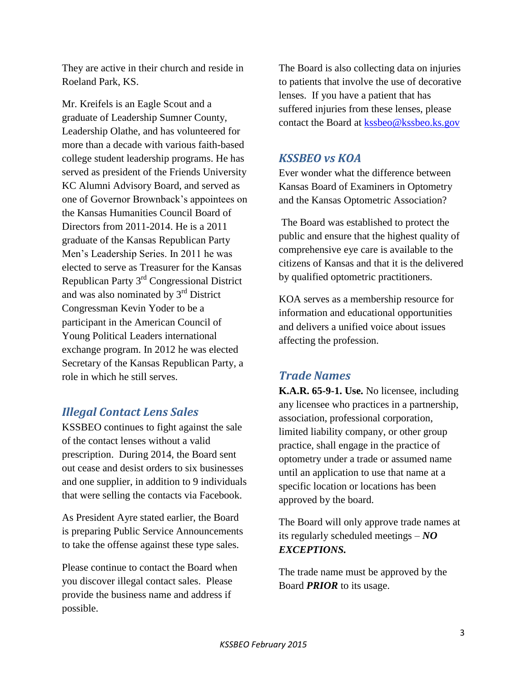They are active in their church and reside in Roeland Park, KS.

Mr. Kreifels is an Eagle Scout and a graduate of Leadership Sumner County, Leadership Olathe, and has volunteered for more than a decade with various faith-based college student leadership programs. He has served as president of the Friends University KC Alumni Advisory Board, and served as one of Governor Brownback's appointees on the Kansas Humanities Council Board of Directors from 2011-2014. He is a 2011 graduate of the Kansas Republican Party Men's Leadership Series. In 2011 he was elected to serve as Treasurer for the Kansas Republican Party 3rd Congressional District and was also nominated by 3rd District Congressman Kevin Yoder to be a participant in the American Council of Young Political Leaders international exchange program. In 2012 he was elected Secretary of the Kansas Republican Party, a role in which he still serves.

## *Illegal Contact Lens Sales*

KSSBEO continues to fight against the sale of the contact lenses without a valid prescription. During 2014, the Board sent out cease and desist orders to six businesses and one supplier, in addition to 9 individuals that were selling the contacts via Facebook.

As President Ayre stated earlier, the Board is preparing Public Service Announcements to take the offense against these type sales.

Please continue to contact the Board when you discover illegal contact sales. Please provide the business name and address if possible.

The Board is also collecting data on injuries to patients that involve the use of decorative lenses. If you have a patient that has suffered injuries from these lenses, please contact the Board at [kssbeo@kssbeo.ks.gov](mailto:kssbeo@kssbeo.ks.gov)

## *KSSBEO vs KOA*

Ever wonder what the difference between Kansas Board of Examiners in Optometry and the Kansas Optometric Association?

The Board was established to protect the public and ensure that the highest quality of comprehensive eye care is available to the citizens of Kansas and that it is the delivered by qualified optometric practitioners.

KOA serves as a membership resource for information and educational opportunities and delivers a unified voice about issues affecting the profession.

## *Trade Names*

**K.A.R. 65-9-1. Use.** No licensee, including any licensee who practices in a partnership, association, professional corporation, limited liability company, or other group practice, shall engage in the practice of optometry under a trade or assumed name until an application to use that name at a specific location or locations has been approved by the board.

The Board will only approve trade names at its regularly scheduled meetings – *NO EXCEPTIONS.* 

The trade name must be approved by the Board *PRIOR* to its usage.